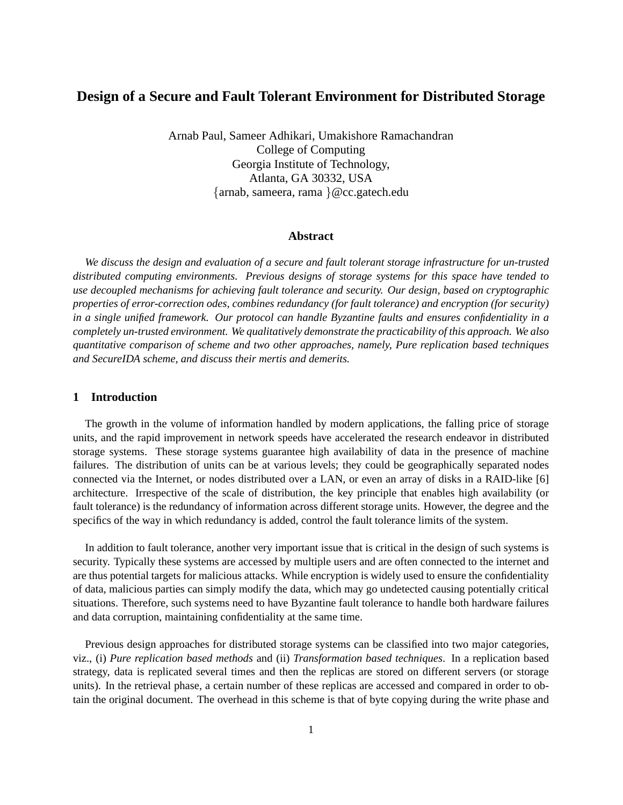# **Design of a Secure and Fault Tolerant Environment for Distributed Storage**

Arnab Paul, Sameer Adhikari, Umakishore Ramachandran College of Computing Georgia Institute of Technology, Atlanta, GA 30332, USA {arnab, sameera, rama }@cc.gatech.edu

#### **Abstract**

*We discuss the design and evaluation of a secure and fault tolerant storage infrastructure for un-trusted distributed computing environments. Previous designs of storage systems for this space have tended to use decoupled mechanisms for achieving fault tolerance and security. Our design, based on cryptographic properties of error-correction odes, combines redundancy (for fault tolerance) and encryption (for security) in a single unified framework. Our protocol can handle Byzantine faults and ensures confidentiality in a completely un-trusted environment. We qualitatively demonstrate the practicability of this approach. We also quantitative comparison of scheme and two other approaches, namely, Pure replication based techniques and SecureIDA scheme, and discuss their mertis and demerits.*

# **1 Introduction**

The growth in the volume of information handled by modern applications, the falling price of storage units, and the rapid improvement in network speeds have accelerated the research endeavor in distributed storage systems. These storage systems guarantee high availability of data in the presence of machine failures. The distribution of units can be at various levels; they could be geographically separated nodes connected via the Internet, or nodes distributed over a LAN, or even an array of disks in a RAID-like [6] architecture. Irrespective of the scale of distribution, the key principle that enables high availability (or fault tolerance) is the redundancy of information across different storage units. However, the degree and the specifics of the way in which redundancy is added, control the fault tolerance limits of the system.

In addition to fault tolerance, another very important issue that is critical in the design of such systems is security. Typically these systems are accessed by multiple users and are often connected to the internet and are thus potential targets for malicious attacks. While encryption is widely used to ensure the confidentiality of data, malicious parties can simply modify the data, which may go undetected causing potentially critical situations. Therefore, such systems need to have Byzantine fault tolerance to handle both hardware failures and data corruption, maintaining confidentiality at the same time.

Previous design approaches for distributed storage systems can be classified into two major categories, viz., (i) *Pure replication based methods* and (ii) *Transformation based techniques*. In a replication based strategy, data is replicated several times and then the replicas are stored on different servers (or storage units). In the retrieval phase, a certain number of these replicas are accessed and compared in order to obtain the original document. The overhead in this scheme is that of byte copying during the write phase and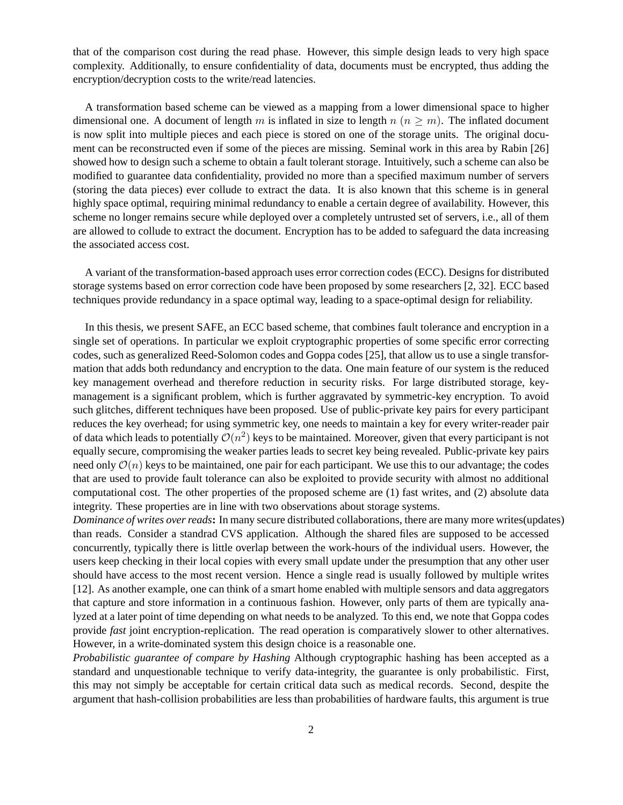that of the comparison cost during the read phase. However, this simple design leads to very high space complexity. Additionally, to ensure confidentiality of data, documents must be encrypted, thus adding the encryption/decryption costs to the write/read latencies.

A transformation based scheme can be viewed as a mapping from a lower dimensional space to higher dimensional one. A document of length m is inflated in size to length  $n (n > m)$ . The inflated document is now split into multiple pieces and each piece is stored on one of the storage units. The original document can be reconstructed even if some of the pieces are missing. Seminal work in this area by Rabin [26] showed how to design such a scheme to obtain a fault tolerant storage. Intuitively, such a scheme can also be modified to guarantee data confidentiality, provided no more than a specified maximum number of servers (storing the data pieces) ever collude to extract the data. It is also known that this scheme is in general highly space optimal, requiring minimal redundancy to enable a certain degree of availability. However, this scheme no longer remains secure while deployed over a completely untrusted set of servers, i.e., all of them are allowed to collude to extract the document. Encryption has to be added to safeguard the data increasing the associated access cost.

A variant of the transformation-based approach uses error correction codes (ECC). Designs for distributed storage systems based on error correction code have been proposed by some researchers [2, 32]. ECC based techniques provide redundancy in a space optimal way, leading to a space-optimal design for reliability.

In this thesis, we present SAFE, an ECC based scheme, that combines fault tolerance and encryption in a single set of operations. In particular we exploit cryptographic properties of some specific error correcting codes, such as generalized Reed-Solomon codes and Goppa codes [25], that allow us to use a single transformation that adds both redundancy and encryption to the data. One main feature of our system is the reduced key management overhead and therefore reduction in security risks. For large distributed storage, keymanagement is a significant problem, which is further aggravated by symmetric-key encryption. To avoid such glitches, different techniques have been proposed. Use of public-private key pairs for every participant reduces the key overhead; for using symmetric key, one needs to maintain a key for every writer-reader pair of data which leads to potentially  $\mathcal{O}(n^2)$  keys to be maintained. Moreover, given that every participant is not equally secure, compromising the weaker parties leads to secret key being revealed. Public-private key pairs need only  $\mathcal{O}(n)$  keys to be maintained, one pair for each participant. We use this to our advantage; the codes that are used to provide fault tolerance can also be exploited to provide security with almost no additional computational cost. The other properties of the proposed scheme are (1) fast writes, and (2) absolute data integrity. These properties are in line with two observations about storage systems.

*Dominance of writes over reads***:** In many secure distributed collaborations, there are many more writes(updates) than reads. Consider a standrad CVS application. Although the shared files are supposed to be accessed concurrently, typically there is little overlap between the work-hours of the individual users. However, the users keep checking in their local copies with every small update under the presumption that any other user should have access to the most recent version. Hence a single read is usually followed by multiple writes [12]. As another example, one can think of a smart home enabled with multiple sensors and data aggregators that capture and store information in a continuous fashion. However, only parts of them are typically analyzed at a later point of time depending on what needs to be analyzed. To this end, we note that Goppa codes provide *fast* joint encryption-replication. The read operation is comparatively slower to other alternatives. However, in a write-dominated system this design choice is a reasonable one.

*Probabilistic guarantee of compare by Hashing* Although cryptographic hashing has been accepted as a standard and unquestionable technique to verify data-integrity, the guarantee is only probabilistic. First, this may not simply be acceptable for certain critical data such as medical records. Second, despite the argument that hash-collision probabilities are less than probabilities of hardware faults, this argument is true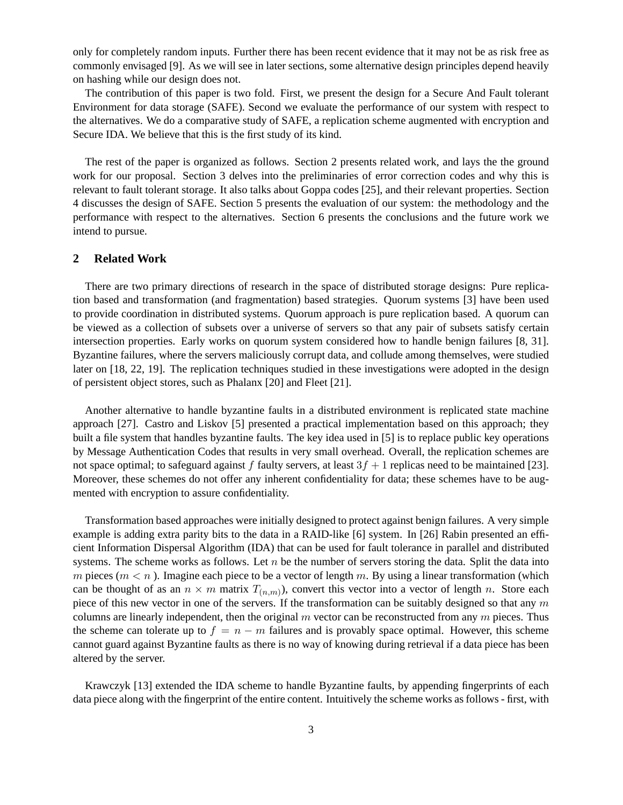only for completely random inputs. Further there has been recent evidence that it may not be as risk free as commonly envisaged [9]. As we will see in later sections, some alternative design principles depend heavily on hashing while our design does not.

The contribution of this paper is two fold. First, we present the design for a Secure And Fault tolerant Environment for data storage (SAFE). Second we evaluate the performance of our system with respect to the alternatives. We do a comparative study of SAFE, a replication scheme augmented with encryption and Secure IDA. We believe that this is the first study of its kind.

The rest of the paper is organized as follows. Section 2 presents related work, and lays the the ground work for our proposal. Section 3 delves into the preliminaries of error correction codes and why this is relevant to fault tolerant storage. It also talks about Goppa codes [25], and their relevant properties. Section 4 discusses the design of SAFE. Section 5 presents the evaluation of our system: the methodology and the performance with respect to the alternatives. Section 6 presents the conclusions and the future work we intend to pursue.

# **2 Related Work**

There are two primary directions of research in the space of distributed storage designs: Pure replication based and transformation (and fragmentation) based strategies. Quorum systems [3] have been used to provide coordination in distributed systems. Quorum approach is pure replication based. A quorum can be viewed as a collection of subsets over a universe of servers so that any pair of subsets satisfy certain intersection properties. Early works on quorum system considered how to handle benign failures [8, 31]. Byzantine failures, where the servers maliciously corrupt data, and collude among themselves, were studied later on [18, 22, 19]. The replication techniques studied in these investigations were adopted in the design of persistent object stores, such as Phalanx [20] and Fleet [21].

Another alternative to handle byzantine faults in a distributed environment is replicated state machine approach [27]. Castro and Liskov [5] presented a practical implementation based on this approach; they built a file system that handles byzantine faults. The key idea used in [5] is to replace public key operations by Message Authentication Codes that results in very small overhead. Overall, the replication schemes are not space optimal; to safeguard against f faulty servers, at least  $3f + 1$  replicas need to be maintained [23]. Moreover, these schemes do not offer any inherent confidentiality for data; these schemes have to be augmented with encryption to assure confidentiality.

Transformation based approaches were initially designed to protect against benign failures. A very simple example is adding extra parity bits to the data in a RAID-like [6] system. In [26] Rabin presented an efficient Information Dispersal Algorithm (IDA) that can be used for fault tolerance in parallel and distributed systems. The scheme works as follows. Let  $n$  be the number of servers storing the data. Split the data into m pieces ( $m < n$ ). Imagine each piece to be a vector of length m. By using a linear transformation (which can be thought of as an  $n \times m$  matrix  $T_{(n,m)}$ ), convert this vector into a vector of length n. Store each piece of this new vector in one of the servers. If the transformation can be suitably designed so that any  $m$ columns are linearly independent, then the original  $m$  vector can be reconstructed from any  $m$  pieces. Thus the scheme can tolerate up to  $f = n - m$  failures and is provably space optimal. However, this scheme cannot guard against Byzantine faults as there is no way of knowing during retrieval if a data piece has been altered by the server.

Krawczyk [13] extended the IDA scheme to handle Byzantine faults, by appending fingerprints of each data piece along with the fingerprint of the entire content. Intuitively the scheme works as follows - first, with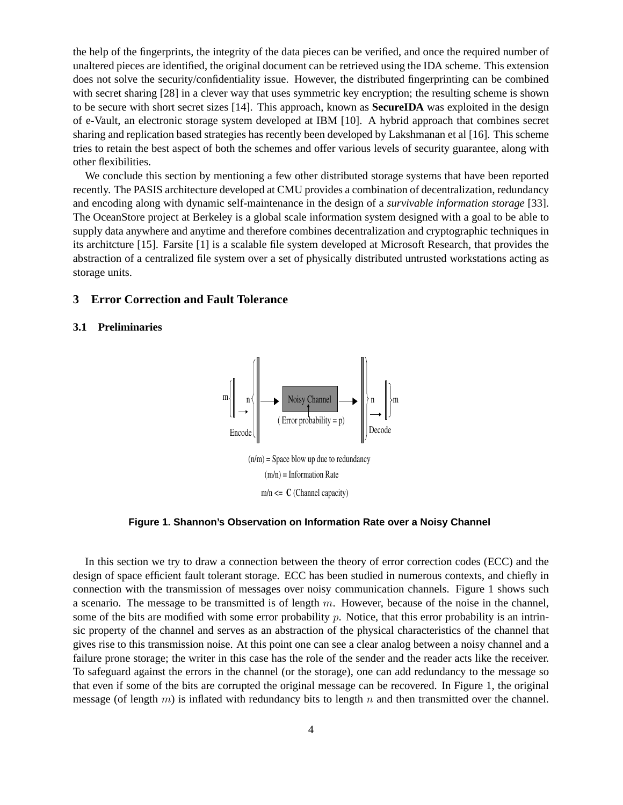the help of the fingerprints, the integrity of the data pieces can be verified, and once the required number of unaltered pieces are identified, the original document can be retrieved using the IDA scheme. This extension does not solve the security/confidentiality issue. However, the distributed fingerprinting can be combined with secret sharing [28] in a clever way that uses symmetric key encryption; the resulting scheme is shown to be secure with short secret sizes [14]. This approach, known as **SecureIDA** was exploited in the design of e-Vault, an electronic storage system developed at IBM [10]. A hybrid approach that combines secret sharing and replication based strategies has recently been developed by Lakshmanan et al [16]. This scheme tries to retain the best aspect of both the schemes and offer various levels of security guarantee, along with other flexibilities.

We conclude this section by mentioning a few other distributed storage systems that have been reported recently. The PASIS architecture developed at CMU provides a combination of decentralization, redundancy and encoding along with dynamic self-maintenance in the design of a *survivable information storage* [33]. The OceanStore project at Berkeley is a global scale information system designed with a goal to be able to supply data anywhere and anytime and therefore combines decentralization and cryptographic techniques in its architcture [15]. Farsite [1] is a scalable file system developed at Microsoft Research, that provides the abstraction of a centralized file system over a set of physically distributed untrusted workstations acting as storage units.

# **3 Error Correction and Fault Tolerance**

#### **3.1 Preliminaries**



**Figure 1. Shannon's Observation on Information Rate over a Noisy Channel**

In this section we try to draw a connection between the theory of error correction codes (ECC) and the design of space efficient fault tolerant storage. ECC has been studied in numerous contexts, and chiefly in connection with the transmission of messages over noisy communication channels. Figure 1 shows such a scenario. The message to be transmitted is of length  $m$ . However, because of the noise in the channel, some of the bits are modified with some error probability  $p$ . Notice, that this error probability is an intrinsic property of the channel and serves as an abstraction of the physical characteristics of the channel that gives rise to this transmission noise. At this point one can see a clear analog between a noisy channel and a failure prone storage; the writer in this case has the role of the sender and the reader acts like the receiver. To safeguard against the errors in the channel (or the storage), one can add redundancy to the message so that even if some of the bits are corrupted the original message can be recovered. In Figure 1, the original message (of length  $m$ ) is inflated with redundancy bits to length  $n$  and then transmitted over the channel.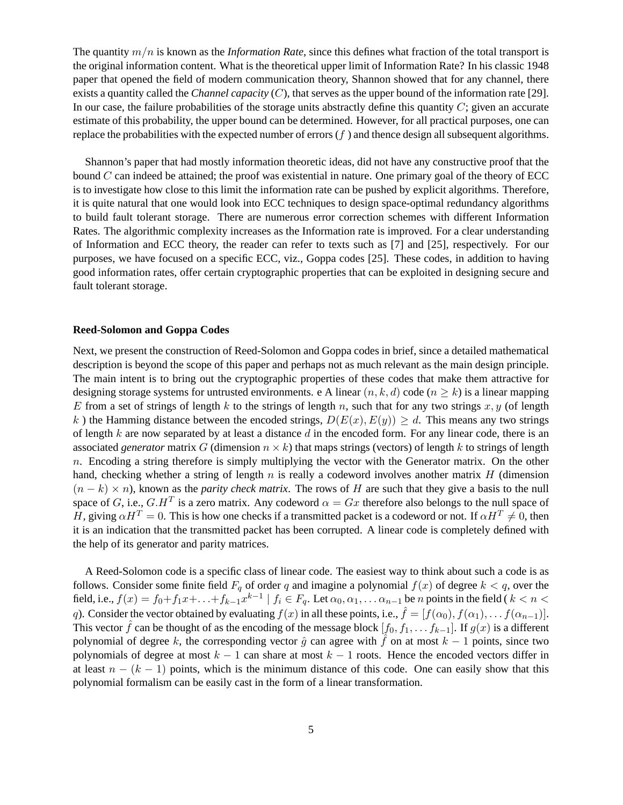The quantity m/n is known as the *Information Rate*, since this defines what fraction of the total transport is the original information content. What is the theoretical upper limit of Information Rate? In his classic 1948 paper that opened the field of modern communication theory, Shannon showed that for any channel, there exists a quantity called the *Channel capacity* (C), that serves as the upper bound of the information rate [29]. In our case, the failure probabilities of the storage units abstractly define this quantity  $C$ ; given an accurate estimate of this probability, the upper bound can be determined. However, for all practical purposes, one can replace the probabilities with the expected number of errors  $(f)$  and thence design all subsequent algorithms.

Shannon's paper that had mostly information theoretic ideas, did not have any constructive proof that the bound  $C$  can indeed be attained; the proof was existential in nature. One primary goal of the theory of ECC is to investigate how close to this limit the information rate can be pushed by explicit algorithms. Therefore, it is quite natural that one would look into ECC techniques to design space-optimal redundancy algorithms to build fault tolerant storage. There are numerous error correction schemes with different Information Rates. The algorithmic complexity increases as the Information rate is improved. For a clear understanding of Information and ECC theory, the reader can refer to texts such as [7] and [25], respectively. For our purposes, we have focused on a specific ECC, viz., Goppa codes [25]. These codes, in addition to having good information rates, offer certain cryptographic properties that can be exploited in designing secure and fault tolerant storage.

# **Reed-Solomon and Goppa Codes**

Next, we present the construction of Reed-Solomon and Goppa codes in brief, since a detailed mathematical description is beyond the scope of this paper and perhaps not as much relevant as the main design principle. The main intent is to bring out the cryptographic properties of these codes that make them attractive for designing storage systems for untrusted environments. e A linear  $(n, k, d)$  code  $(n \ge k)$  is a linear mapping E from a set of strings of length k to the strings of length n, such that for any two strings x, y (of length k) the Hamming distance between the encoded strings,  $D(E(x), E(y)) \ge d$ . This means any two strings of length k are now separated by at least a distance  $d$  in the encoded form. For any linear code, there is an associated *generator* matrix G (dimension  $n \times k$ ) that maps strings (vectors) of length k to strings of length  $n$ . Encoding a string therefore is simply multiplying the vector with the Generator matrix. On the other hand, checking whether a string of length  $n$  is really a codeword involves another matrix  $H$  (dimension  $(n - k) \times n$ , known as the *parity check matrix*. The rows of H are such that they give a basis to the null space of G, i.e.,  $G.H^T$  is a zero matrix. Any codeword  $\alpha = Gx$  therefore also belongs to the null space of H, giving  $\alpha H^T = 0$ . This is how one checks if a transmitted packet is a codeword or not. If  $\alpha H^T \neq 0$ , then it is an indication that the transmitted packet has been corrupted. A linear code is completely defined with the help of its generator and parity matrices.

A Reed-Solomon code is a specific class of linear code. The easiest way to think about such a code is as follows. Consider some finite field  $F_q$  of order q and imagine a polynomial  $f(x)$  of degree  $k < q$ , over the field, i.e.,  $f(x) = f_0 + f_1 x + \ldots + f_{k-1} x^{k-1} \mid f_i \in F_q$ . Let  $\alpha_0, \alpha_1, \ldots, \alpha_{n-1}$  be n points in the field  $k < n <$ q). Consider the vector obtained by evaluating  $f(x)$  in all these points, i.e.,  $\hat{f} = [f(\alpha_0), f(\alpha_1), \dots, f(\alpha_{n-1})]$ . This vector  $\hat{f}$  can be thought of as the encoding of the message block  $[f_0, f_1, \ldots, f_{k-1}]$ . If  $g(x)$  is a different polynomial of degree k, the corresponding vector  $\hat{g}$  can agree with f on at most  $k - 1$  points, since two polynomials of degree at most  $k - 1$  can share at most  $k - 1$  roots. Hence the encoded vectors differ in at least  $n - (k - 1)$  points, which is the minimum distance of this code. One can easily show that this polynomial formalism can be easily cast in the form of a linear transformation.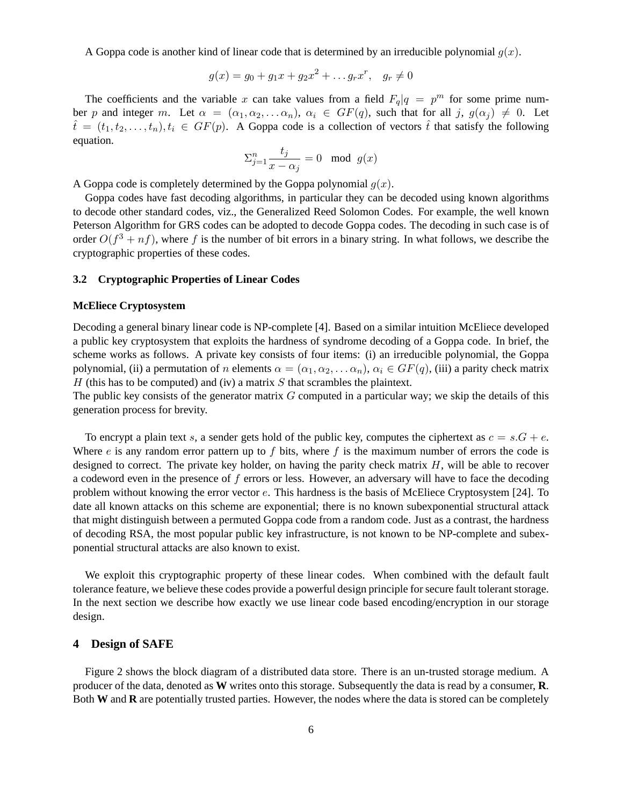A Goppa code is another kind of linear code that is determined by an irreducible polynomial  $g(x)$ .

$$
g(x) = g_0 + g_1 x + g_2 x^2 + \dots g_r x^r, \quad g_r \neq 0
$$

The coefficients and the variable x can take values from a field  $F_q|q = p^m$  for some prime number p and integer m. Let  $\alpha = (\alpha_1, \alpha_2, \dots \alpha_n)$ ,  $\alpha_i \in GF(q)$ , such that for all j,  $g(\alpha_i) \neq 0$ . Let  $\hat{t} = (t_1, t_2, \ldots, t_n), t_i \in GF(p)$ . A Goppa code is a collection of vectors  $\hat{t}$  that satisfy the following equation.

$$
\Sigma_{j=1}^n \frac{t_j}{x - \alpha_j} = 0 \mod g(x)
$$

A Goppa code is completely determined by the Goppa polynomial  $q(x)$ .

Goppa codes have fast decoding algorithms, in particular they can be decoded using known algorithms to decode other standard codes, viz., the Generalized Reed Solomon Codes. For example, the well known Peterson Algorithm for GRS codes can be adopted to decode Goppa codes. The decoding in such case is of order  $O(f^3 + nf)$ , where f is the number of bit errors in a binary string. In what follows, we describe the cryptographic properties of these codes.

# **3.2 Cryptographic Properties of Linear Codes**

#### **McEliece Cryptosystem**

Decoding a general binary linear code is NP-complete [4]. Based on a similar intuition McEliece developed a public key cryptosystem that exploits the hardness of syndrome decoding of a Goppa code. In brief, the scheme works as follows. A private key consists of four items: (i) an irreducible polynomial, the Goppa polynomial, (ii) a permutation of n elements  $\alpha = (\alpha_1, \alpha_2, \dots \alpha_n)$ ,  $\alpha_i \in GF(q)$ , (iii) a parity check matrix  $H$  (this has to be computed) and (iv) a matrix  $S$  that scrambles the plaintext.

The public key consists of the generator matrix  $G$  computed in a particular way; we skip the details of this generation process for brevity.

To encrypt a plain text s, a sender gets hold of the public key, computes the ciphertext as  $c = s \cdot G + e$ . Where  $e$  is any random error pattern up to  $f$  bits, where  $f$  is the maximum number of errors the code is designed to correct. The private key holder, on having the parity check matrix  $H$ , will be able to recover a codeword even in the presence of f errors or less. However, an adversary will have to face the decoding problem without knowing the error vector e. This hardness is the basis of McEliece Cryptosystem [24]. To date all known attacks on this scheme are exponential; there is no known subexponential structural attack that might distinguish between a permuted Goppa code from a random code. Just as a contrast, the hardness of decoding RSA, the most popular public key infrastructure, is not known to be NP-complete and subexponential structural attacks are also known to exist.

We exploit this cryptographic property of these linear codes. When combined with the default fault tolerance feature, we believe these codes provide a powerful design principle for secure fault tolerant storage. In the next section we describe how exactly we use linear code based encoding/encryption in our storage design.

# **4 Design of SAFE**

Figure 2 shows the block diagram of a distributed data store. There is an un-trusted storage medium. A producer of the data, denoted as **W** writes onto this storage. Subsequently the data is read by a consumer, **R**. Both **W** and **R** are potentially trusted parties. However, the nodes where the data is stored can be completely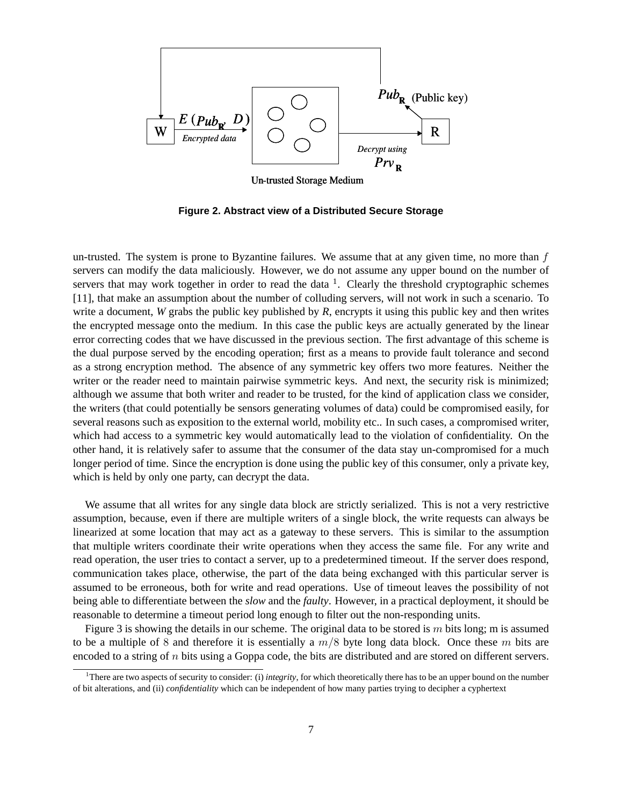

**Figure 2. Abstract view of a Distributed Secure Storage**

un-trusted. The system is prone to Byzantine failures. We assume that at any given time, no more than  $f$ servers can modify the data maliciously. However, we do not assume any upper bound on the number of servers that may work together in order to read the data  $<sup>1</sup>$ . Clearly the threshold cryptographic schemes</sup> [11], that make an assumption about the number of colluding servers, will not work in such a scenario. To write a document, *W* grabs the public key published by *R*, encrypts it using this public key and then writes the encrypted message onto the medium. In this case the public keys are actually generated by the linear error correcting codes that we have discussed in the previous section. The first advantage of this scheme is the dual purpose served by the encoding operation; first as a means to provide fault tolerance and second as a strong encryption method. The absence of any symmetric key offers two more features. Neither the writer or the reader need to maintain pairwise symmetric keys. And next, the security risk is minimized; although we assume that both writer and reader to be trusted, for the kind of application class we consider, the writers (that could potentially be sensors generating volumes of data) could be compromised easily, for several reasons such as exposition to the external world, mobility etc.. In such cases, a compromised writer, which had access to a symmetric key would automatically lead to the violation of confidentiality. On the other hand, it is relatively safer to assume that the consumer of the data stay un-compromised for a much longer period of time. Since the encryption is done using the public key of this consumer, only a private key, which is held by only one party, can decrypt the data.

We assume that all writes for any single data block are strictly serialized. This is not a very restrictive assumption, because, even if there are multiple writers of a single block, the write requests can always be linearized at some location that may act as a gateway to these servers. This is similar to the assumption that multiple writers coordinate their write operations when they access the same file. For any write and read operation, the user tries to contact a server, up to a predetermined timeout. If the server does respond, communication takes place, otherwise, the part of the data being exchanged with this particular server is assumed to be erroneous, both for write and read operations. Use of timeout leaves the possibility of not being able to differentiate between the *slow* and the *faulty*. However, in a practical deployment, it should be reasonable to determine a timeout period long enough to filter out the non-responding units.

Figure 3 is showing the details in our scheme. The original data to be stored is m bits long; m is assumed to be a multiple of 8 and therefore it is essentially a  $m/8$  byte long data block. Once these m bits are encoded to a string of  $n$  bits using a Goppa code, the bits are distributed and are stored on different servers.

<sup>1</sup>There are two aspects of security to consider: (i) *integrity*, for which theoretically there has to be an upper bound on the number of bit alterations, and (ii) *confidentiality* which can be independent of how many parties trying to decipher a cyphertext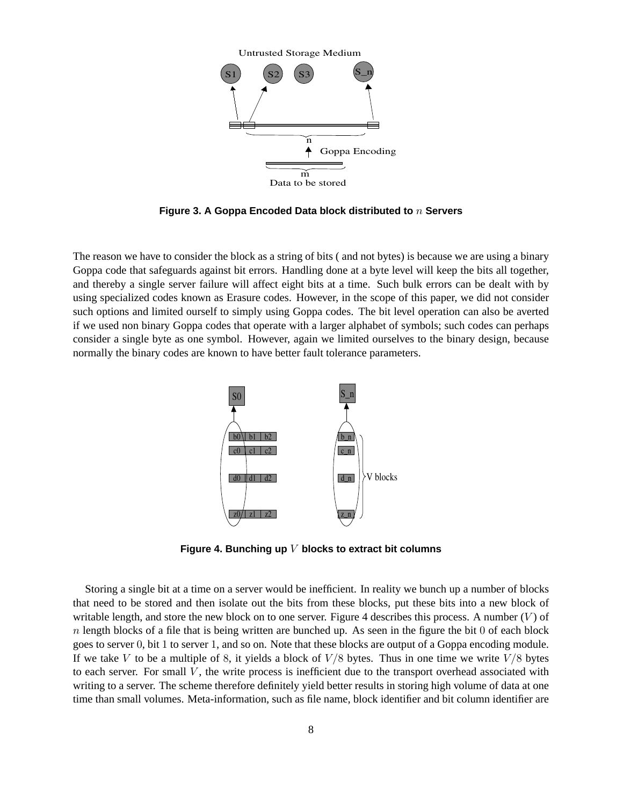

**Figure 3. A Goppa Encoded Data block distributed to** n **Servers**

The reason we have to consider the block as a string of bits ( and not bytes) is because we are using a binary Goppa code that safeguards against bit errors. Handling done at a byte level will keep the bits all together, and thereby a single server failure will affect eight bits at a time. Such bulk errors can be dealt with by using specialized codes known as Erasure codes. However, in the scope of this paper, we did not consider such options and limited ourself to simply using Goppa codes. The bit level operation can also be averted if we used non binary Goppa codes that operate with a larger alphabet of symbols; such codes can perhaps consider a single byte as one symbol. However, again we limited ourselves to the binary design, because normally the binary codes are known to have better fault tolerance parameters.



**Figure 4. Bunching up** V **blocks to extract bit columns**

Storing a single bit at a time on a server would be inefficient. In reality we bunch up a number of blocks that need to be stored and then isolate out the bits from these blocks, put these bits into a new block of writable length, and store the new block on to one server. Figure 4 describes this process. A number  $(V)$  of  $n$  length blocks of a file that is being written are bunched up. As seen in the figure the bit 0 of each block goes to server 0, bit 1 to server 1, and so on. Note that these blocks are output of a Goppa encoding module. If we take V to be a multiple of 8, it yields a block of  $V/8$  bytes. Thus in one time we write  $V/8$  bytes to each server. For small  $V$ , the write process is inefficient due to the transport overhead associated with writing to a server. The scheme therefore definitely yield better results in storing high volume of data at one time than small volumes. Meta-information, such as file name, block identifier and bit column identifier are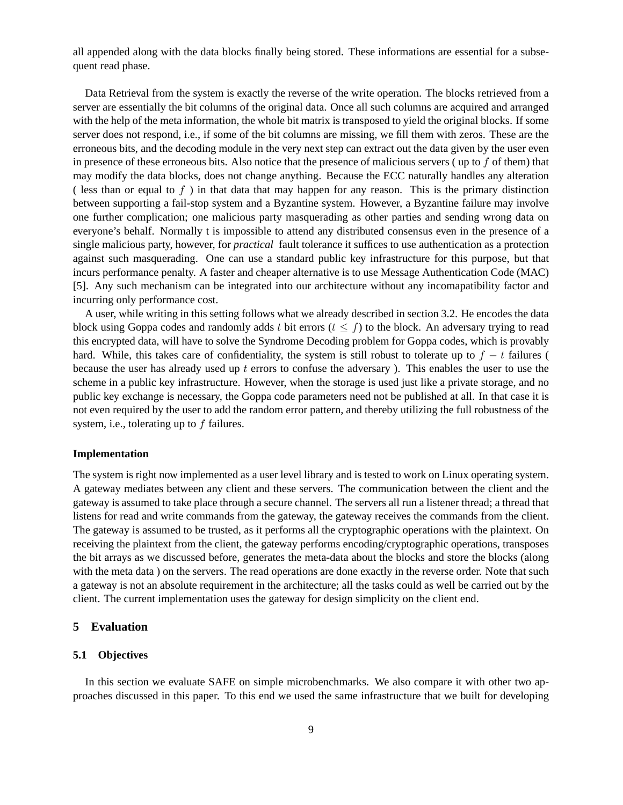all appended along with the data blocks finally being stored. These informations are essential for a subsequent read phase.

Data Retrieval from the system is exactly the reverse of the write operation. The blocks retrieved from a server are essentially the bit columns of the original data. Once all such columns are acquired and arranged with the help of the meta information, the whole bit matrix is transposed to yield the original blocks. If some server does not respond, i.e., if some of the bit columns are missing, we fill them with zeros. These are the erroneous bits, and the decoding module in the very next step can extract out the data given by the user even in presence of these erroneous bits. Also notice that the presence of malicious servers ( up to f of them) that may modify the data blocks, does not change anything. Because the ECC naturally handles any alteration ( less than or equal to  $f$  ) in that data that may happen for any reason. This is the primary distinction between supporting a fail-stop system and a Byzantine system. However, a Byzantine failure may involve one further complication; one malicious party masquerading as other parties and sending wrong data on everyone's behalf. Normally t is impossible to attend any distributed consensus even in the presence of a single malicious party, however, for *practical* fault tolerance it suffices to use authentication as a protection against such masquerading. One can use a standard public key infrastructure for this purpose, but that incurs performance penalty. A faster and cheaper alternative is to use Message Authentication Code (MAC) [5]. Any such mechanism can be integrated into our architecture without any incomapatibility factor and incurring only performance cost.

A user, while writing in this setting follows what we already described in section 3.2. He encodes the data block using Goppa codes and randomly adds t bit errors  $(t < f)$  to the block. An adversary trying to read this encrypted data, will have to solve the Syndrome Decoding problem for Goppa codes, which is provably hard. While, this takes care of confidentiality, the system is still robust to tolerate up to  $f - t$  failures ( because the user has already used up  $t$  errors to confuse the adversary ). This enables the user to use the scheme in a public key infrastructure. However, when the storage is used just like a private storage, and no public key exchange is necessary, the Goppa code parameters need not be published at all. In that case it is not even required by the user to add the random error pattern, and thereby utilizing the full robustness of the system, i.e., tolerating up to  $f$  failures.

### **Implementation**

The system is right now implemented as a user level library and is tested to work on Linux operating system. A gateway mediates between any client and these servers. The communication between the client and the gateway is assumed to take place through a secure channel. The servers all run a listener thread; a thread that listens for read and write commands from the gateway, the gateway receives the commands from the client. The gateway is assumed to be trusted, as it performs all the cryptographic operations with the plaintext. On receiving the plaintext from the client, the gateway performs encoding/cryptographic operations, transposes the bit arrays as we discussed before, generates the meta-data about the blocks and store the blocks (along with the meta data) on the servers. The read operations are done exactly in the reverse order. Note that such a gateway is not an absolute requirement in the architecture; all the tasks could as well be carried out by the client. The current implementation uses the gateway for design simplicity on the client end.

# **5 Evaluation**

### **5.1 Objectives**

In this section we evaluate SAFE on simple microbenchmarks. We also compare it with other two approaches discussed in this paper. To this end we used the same infrastructure that we built for developing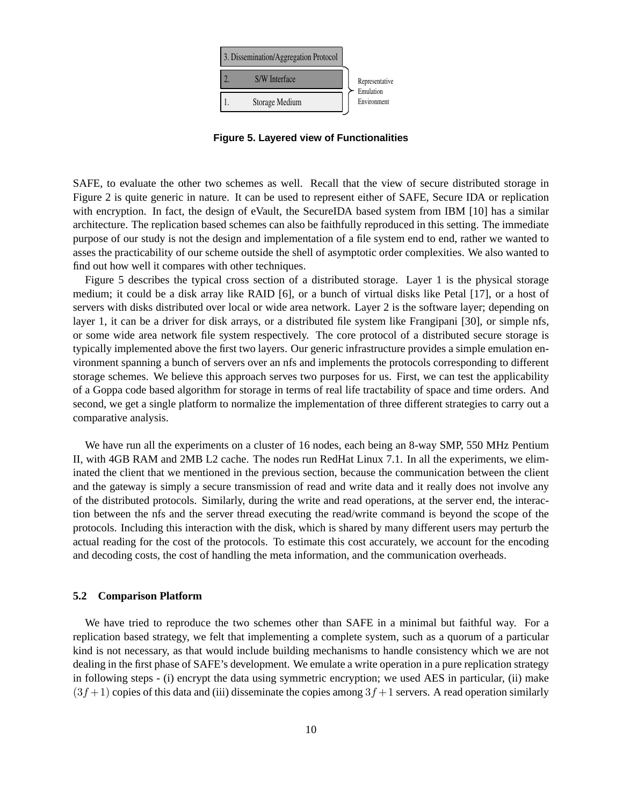

**Figure 5. Layered view of Functionalities**

SAFE, to evaluate the other two schemes as well. Recall that the view of secure distributed storage in Figure 2 is quite generic in nature. It can be used to represent either of SAFE, Secure IDA or replication with encryption. In fact, the design of eVault, the SecureIDA based system from IBM [10] has a similar architecture. The replication based schemes can also be faithfully reproduced in this setting. The immediate purpose of our study is not the design and implementation of a file system end to end, rather we wanted to asses the practicability of our scheme outside the shell of asymptotic order complexities. We also wanted to find out how well it compares with other techniques.

Figure 5 describes the typical cross section of a distributed storage. Layer 1 is the physical storage medium; it could be a disk array like RAID [6], or a bunch of virtual disks like Petal [17], or a host of servers with disks distributed over local or wide area network. Layer 2 is the software layer; depending on layer 1, it can be a driver for disk arrays, or a distributed file system like Frangipani [30], or simple nfs, or some wide area network file system respectively. The core protocol of a distributed secure storage is typically implemented above the first two layers. Our generic infrastructure provides a simple emulation environment spanning a bunch of servers over an nfs and implements the protocols corresponding to different storage schemes. We believe this approach serves two purposes for us. First, we can test the applicability of a Goppa code based algorithm for storage in terms of real life tractability of space and time orders. And second, we get a single platform to normalize the implementation of three different strategies to carry out a comparative analysis.

We have run all the experiments on a cluster of 16 nodes, each being an 8-way SMP, 550 MHz Pentium II, with 4GB RAM and 2MB L2 cache. The nodes run RedHat Linux 7.1. In all the experiments, we eliminated the client that we mentioned in the previous section, because the communication between the client and the gateway is simply a secure transmission of read and write data and it really does not involve any of the distributed protocols. Similarly, during the write and read operations, at the server end, the interaction between the nfs and the server thread executing the read/write command is beyond the scope of the protocols. Including this interaction with the disk, which is shared by many different users may perturb the actual reading for the cost of the protocols. To estimate this cost accurately, we account for the encoding and decoding costs, the cost of handling the meta information, and the communication overheads.

#### **5.2 Comparison Platform**

We have tried to reproduce the two schemes other than SAFE in a minimal but faithful way. For a replication based strategy, we felt that implementing a complete system, such as a quorum of a particular kind is not necessary, as that would include building mechanisms to handle consistency which we are not dealing in the first phase of SAFE's development. We emulate a write operation in a pure replication strategy in following steps - (i) encrypt the data using symmetric encryption; we used AES in particular, (ii) make  $(3f+1)$  copies of this data and (iii) disseminate the copies among  $3f+1$  servers. A read operation similarly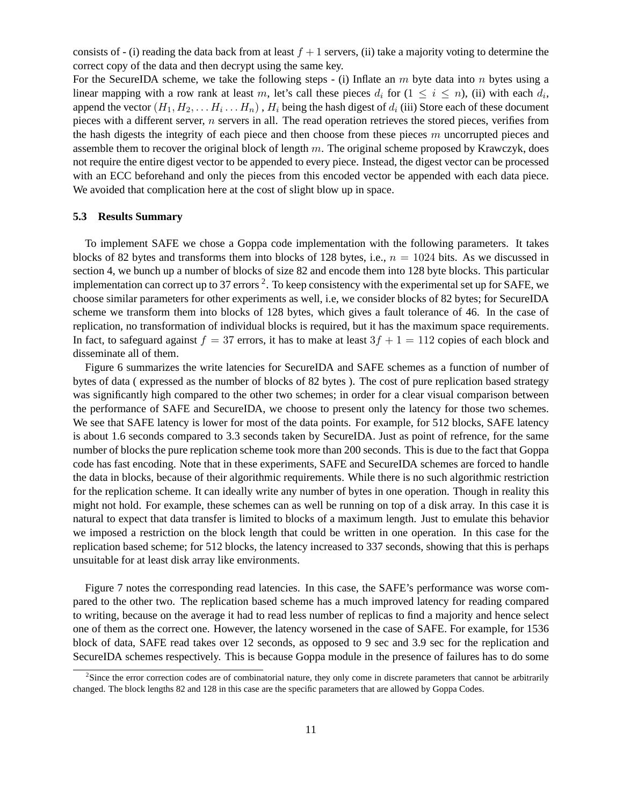consists of - (i) reading the data back from at least  $f + 1$  servers, (ii) take a majority voting to determine the correct copy of the data and then decrypt using the same key.

For the SecureIDA scheme, we take the following steps - (i) Inflate an  $m$  byte data into  $n$  bytes using a linear mapping with a row rank at least m, let's call these pieces  $d_i$  for  $(1 \le i \le n)$ , (ii) with each  $d_i$ , append the vector  $(H_1,H_2,\ldots H_i\ldots H_n)$  ,  $H_i$  being the hash digest of  $d_i$  (iii) Store each of these document pieces with a different server,  $n$  servers in all. The read operation retrieves the stored pieces, verifies from the hash digests the integrity of each piece and then choose from these pieces  $m$  uncorrupted pieces and assemble them to recover the original block of length  $m$ . The original scheme proposed by Krawczyk, does not require the entire digest vector to be appended to every piece. Instead, the digest vector can be processed with an ECC beforehand and only the pieces from this encoded vector be appended with each data piece. We avoided that complication here at the cost of slight blow up in space.

### **5.3 Results Summary**

To implement SAFE we chose a Goppa code implementation with the following parameters. It takes blocks of 82 bytes and transforms them into blocks of 128 bytes, i.e.,  $n = 1024$  bits. As we discussed in section 4, we bunch up a number of blocks of size 82 and encode them into 128 byte blocks. This particular implementation can correct up to 37 errors  $^2$ . To keep consistency with the experimental set up for SAFE, we choose similar parameters for other experiments as well, i.e, we consider blocks of 82 bytes; for SecureIDA scheme we transform them into blocks of 128 bytes, which gives a fault tolerance of 46. In the case of replication, no transformation of individual blocks is required, but it has the maximum space requirements. In fact, to safeguard against  $f = 37$  errors, it has to make at least  $3f + 1 = 112$  copies of each block and disseminate all of them.

Figure 6 summarizes the write latencies for SecureIDA and SAFE schemes as a function of number of bytes of data ( expressed as the number of blocks of 82 bytes ). The cost of pure replication based strategy was significantly high compared to the other two schemes; in order for a clear visual comparison between the performance of SAFE and SecureIDA, we choose to present only the latency for those two schemes. We see that SAFE latency is lower for most of the data points. For example, for 512 blocks, SAFE latency is about 1.6 seconds compared to 3.3 seconds taken by SecureIDA. Just as point of refrence, for the same number of blocks the pure replication scheme took more than 200 seconds. This is due to the fact that Goppa code has fast encoding. Note that in these experiments, SAFE and SecureIDA schemes are forced to handle the data in blocks, because of their algorithmic requirements. While there is no such algorithmic restriction for the replication scheme. It can ideally write any number of bytes in one operation. Though in reality this might not hold. For example, these schemes can as well be running on top of a disk array. In this case it is natural to expect that data transfer is limited to blocks of a maximum length. Just to emulate this behavior we imposed a restriction on the block length that could be written in one operation. In this case for the replication based scheme; for 512 blocks, the latency increased to 337 seconds, showing that this is perhaps unsuitable for at least disk array like environments.

Figure 7 notes the corresponding read latencies. In this case, the SAFE's performance was worse compared to the other two. The replication based scheme has a much improved latency for reading compared to writing, because on the average it had to read less number of replicas to find a majority and hence select one of them as the correct one. However, the latency worsened in the case of SAFE. For example, for 1536 block of data, SAFE read takes over 12 seconds, as opposed to 9 sec and 3.9 sec for the replication and SecureIDA schemes respectively. This is because Goppa module in the presence of failures has to do some

<sup>&</sup>lt;sup>2</sup>Since the error correction codes are of combinatorial nature, they only come in discrete parameters that cannot be arbitrarily changed. The block lengths 82 and 128 in this case are the specific parameters that are allowed by Goppa Codes.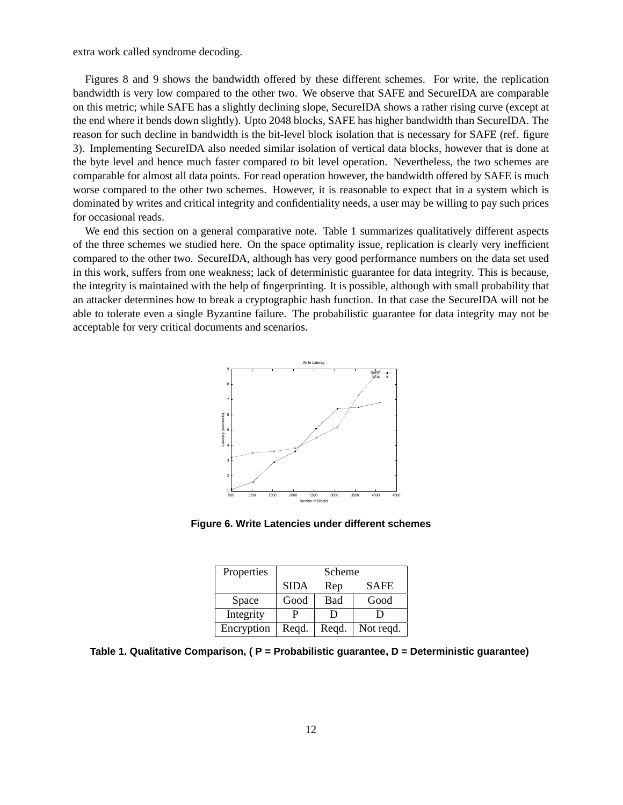extra work called syndrome decoding.

Figures 8 and 9 shows the bandwidth offered by these different schemes. For write, the replication bandwidth is very low compared to the other two. We observe that SAFE and SecureIDA are comparable on this metric; while SAFE has a slightly declining slope, SecureIDA shows a rather rising curve (except at the end where it bends down slightly). Upto 2048 blocks, SAFE has higher bandwidth than SecureIDA. The reason for such decline in bandwidth is the bit-level block isolation that is necessary for SAFE (ref. figure 3). Implementing SecureIDA also needed similar isolation of vertical data blocks, however that is done at the byte level and hence much faster compared to bit level operation. Nevertheless, the two schemes are comparable for almost all data points. For read operation however, the bandwidth offered by SAFE is much worse compared to the other two schemes. However, it is reasonable to expect that in a system which is dominated by writes and critical integrity and confidentiality needs, a user may be willing to pay such prices for occasional reads.

We end this section on a general comparative note. Table 1 summarizes qualitatively different aspects of the three schemes we studied here. On the space optimality issue, replication is clearly very inefficient compared to the other two. SecureIDA, although has very good performance numbers on the data set used in this work, suffers from one weakness; lack of deterministic guarantee for data integrity. This is because, the integrity is maintained with the help of fingerprinting. It is possible, although with small probability that an attacker determines how to break a cryptographic hash function. In that case the SecureIDA will not be able to tolerate even a single Byzantine failure. The probabilistic guarantee for data integrity may not be acceptable for very critical documents and scenarios.



**Figure 6. Write Latencies under different schemes**

| Properties | Scheme      |                |             |
|------------|-------------|----------------|-------------|
|            | <b>SIDA</b> | Rep            | <b>SAFE</b> |
| Space      | Good        | Bad            | Good        |
| Integrity  |             | $\blacksquare$ |             |
| Encryption | Reqd.       | Reqd.          | Not regd.   |

**Table 1. Qualitative Comparison, ( P = Probabilistic guarantee, D = Deterministic guarantee)**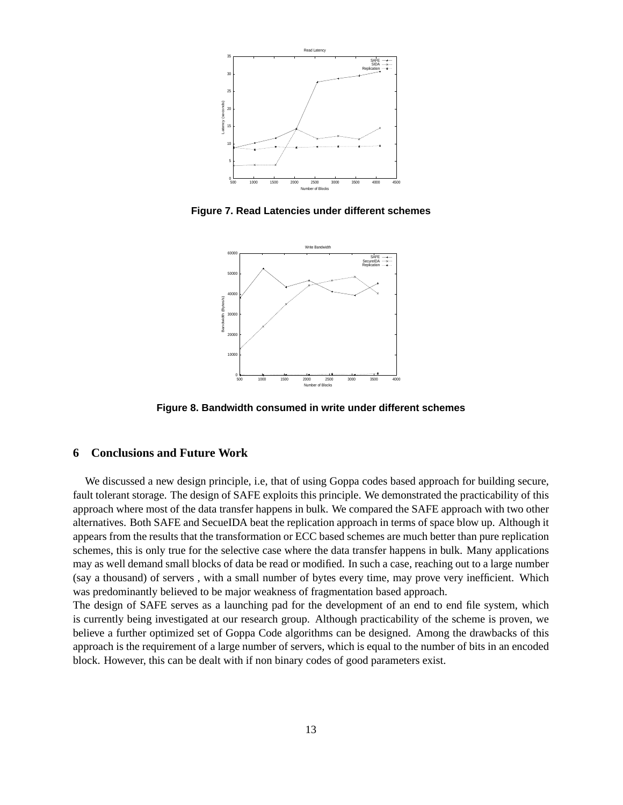

**Figure 7. Read Latencies under different schemes**



**Figure 8. Bandwidth consumed in write under different schemes**

# **6 Conclusions and Future Work**

We discussed a new design principle, i.e, that of using Goppa codes based approach for building secure, fault tolerant storage. The design of SAFE exploits this principle. We demonstrated the practicability of this approach where most of the data transfer happens in bulk. We compared the SAFE approach with two other alternatives. Both SAFE and SecueIDA beat the replication approach in terms of space blow up. Although it appears from the results that the transformation or ECC based schemes are much better than pure replication schemes, this is only true for the selective case where the data transfer happens in bulk. Many applications may as well demand small blocks of data be read or modified. In such a case, reaching out to a large number (say a thousand) of servers , with a small number of bytes every time, may prove very inefficient. Which was predominantly believed to be major weakness of fragmentation based approach.

The design of SAFE serves as a launching pad for the development of an end to end file system, which is currently being investigated at our research group. Although practicability of the scheme is proven, we believe a further optimized set of Goppa Code algorithms can be designed. Among the drawbacks of this approach is the requirement of a large number of servers, which is equal to the number of bits in an encoded block. However, this can be dealt with if non binary codes of good parameters exist.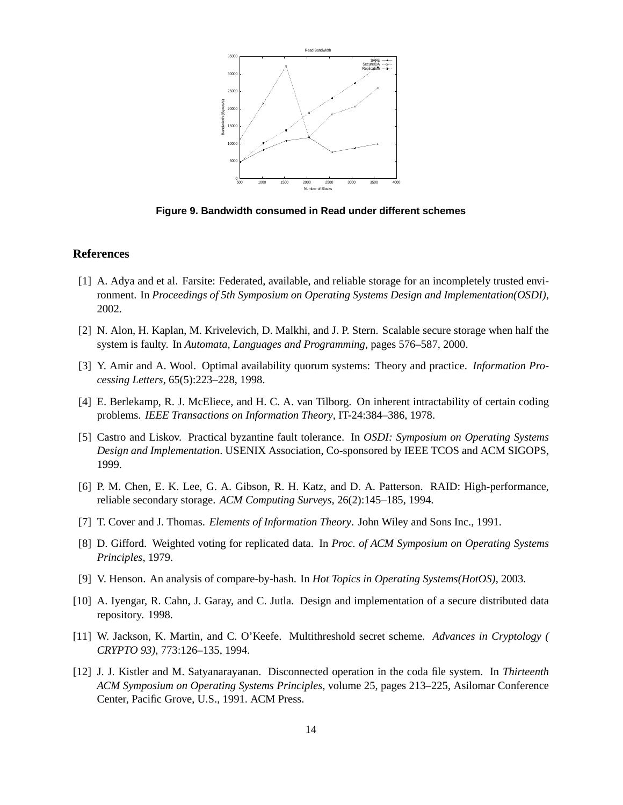

**Figure 9. Bandwidth consumed in Read under different schemes**

### **References**

- [1] A. Adya and et al. Farsite: Federated, available, and reliable storage for an incompletely trusted environment. In *Proceedings of 5th Symposium on Operating Systems Design and Implementation(OSDI)*, 2002.
- [2] N. Alon, H. Kaplan, M. Krivelevich, D. Malkhi, and J. P. Stern. Scalable secure storage when half the system is faulty. In *Automata, Languages and Programming*, pages 576–587, 2000.
- [3] Y. Amir and A. Wool. Optimal availability quorum systems: Theory and practice. *Information Processing Letters*, 65(5):223–228, 1998.
- [4] E. Berlekamp, R. J. McEliece, and H. C. A. van Tilborg. On inherent intractability of certain coding problems. *IEEE Transactions on Information Theory*, IT-24:384–386, 1978.
- [5] Castro and Liskov. Practical byzantine fault tolerance. In *OSDI: Symposium on Operating Systems Design and Implementation*. USENIX Association, Co-sponsored by IEEE TCOS and ACM SIGOPS, 1999.
- [6] P. M. Chen, E. K. Lee, G. A. Gibson, R. H. Katz, and D. A. Patterson. RAID: High-performance, reliable secondary storage. *ACM Computing Surveys*, 26(2):145–185, 1994.
- [7] T. Cover and J. Thomas. *Elements of Information Theory*. John Wiley and Sons Inc., 1991.
- [8] D. Gifford. Weighted voting for replicated data. In *Proc. of ACM Symposium on Operating Systems Principles*, 1979.
- [9] V. Henson. An analysis of compare-by-hash. In *Hot Topics in Operating Systems(HotOS)*, 2003.
- [10] A. Iyengar, R. Cahn, J. Garay, and C. Jutla. Design and implementation of a secure distributed data repository. 1998.
- [11] W. Jackson, K. Martin, and C. O'Keefe. Multithreshold secret scheme. *Advances in Cryptology ( CRYPTO 93)*, 773:126–135, 1994.
- [12] J. J. Kistler and M. Satyanarayanan. Disconnected operation in the coda file system. In *Thirteenth ACM Symposium on Operating Systems Principles*, volume 25, pages 213–225, Asilomar Conference Center, Pacific Grove, U.S., 1991. ACM Press.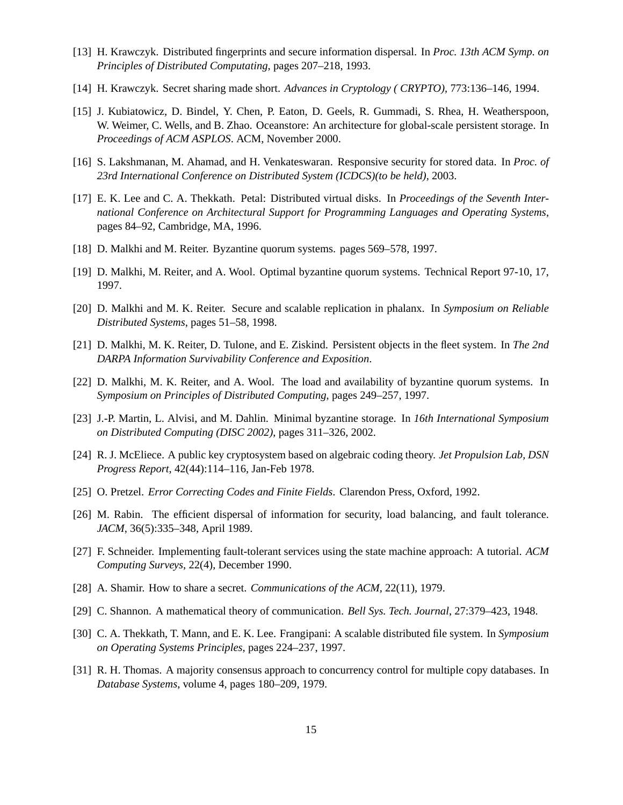- [13] H. Krawczyk. Distributed fingerprints and secure information dispersal. In *Proc. 13th ACM Symp. on Principles of Distributed Computating*, pages 207–218, 1993.
- [14] H. Krawczyk. Secret sharing made short. *Advances in Cryptology ( CRYPTO)*, 773:136–146, 1994.
- [15] J. Kubiatowicz, D. Bindel, Y. Chen, P. Eaton, D. Geels, R. Gummadi, S. Rhea, H. Weatherspoon, W. Weimer, C. Wells, and B. Zhao. Oceanstore: An architecture for global-scale persistent storage. In *Proceedings of ACM ASPLOS*. ACM, November 2000.
- [16] S. Lakshmanan, M. Ahamad, and H. Venkateswaran. Responsive security for stored data. In *Proc. of 23rd International Conference on Distributed System (ICDCS)(to be held)*, 2003.
- [17] E. K. Lee and C. A. Thekkath. Petal: Distributed virtual disks. In *Proceedings of the Seventh International Conference on Architectural Support for Programming Languages and Operating Systems*, pages 84–92, Cambridge, MA, 1996.
- [18] D. Malkhi and M. Reiter. Byzantine quorum systems. pages 569–578, 1997.
- [19] D. Malkhi, M. Reiter, and A. Wool. Optimal byzantine quorum systems. Technical Report 97-10, 17, 1997.
- [20] D. Malkhi and M. K. Reiter. Secure and scalable replication in phalanx. In *Symposium on Reliable Distributed Systems*, pages 51–58, 1998.
- [21] D. Malkhi, M. K. Reiter, D. Tulone, and E. Ziskind. Persistent objects in the fleet system. In *The 2nd DARPA Information Survivability Conference and Exposition*.
- [22] D. Malkhi, M. K. Reiter, and A. Wool. The load and availability of byzantine quorum systems. In *Symposium on Principles of Distributed Computing*, pages 249–257, 1997.
- [23] J.-P. Martin, L. Alvisi, and M. Dahlin. Minimal byzantine storage. In *16th International Symposium on Distributed Computing (DISC 2002)*, pages 311–326, 2002.
- [24] R. J. McEliece. A public key cryptosystem based on algebraic coding theory. *Jet Propulsion Lab, DSN Progress Report*, 42(44):114–116, Jan-Feb 1978.
- [25] O. Pretzel. *Error Correcting Codes and Finite Fields*. Clarendon Press, Oxford, 1992.
- [26] M. Rabin. The efficient dispersal of information for security, load balancing, and fault tolerance. *JACM*, 36(5):335–348, April 1989.
- [27] F. Schneider. Implementing fault-tolerant services using the state machine approach: A tutorial. *ACM Computing Surveys*, 22(4), December 1990.
- [28] A. Shamir. How to share a secret. *Communications of the ACM*, 22(11), 1979.
- [29] C. Shannon. A mathematical theory of communication. *Bell Sys. Tech. Journal*, 27:379–423, 1948.
- [30] C. A. Thekkath, T. Mann, and E. K. Lee. Frangipani: A scalable distributed file system. In *Symposium on Operating Systems Principles*, pages 224–237, 1997.
- [31] R. H. Thomas. A majority consensus approach to concurrency control for multiple copy databases. In *Database Systems*, volume 4, pages 180–209, 1979.